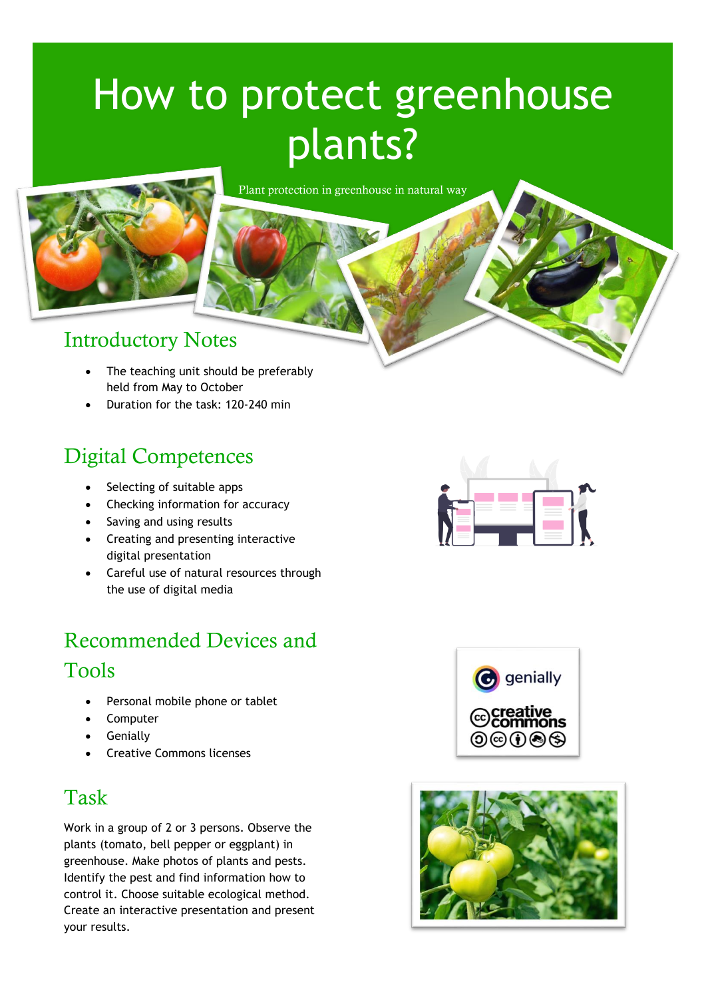# How to protect greenhouse plants?

Plant protection in greenhouse in natural way



#### Introductory Notes

- The teaching unit should be preferably held from May to October
- Duration for the task: 120-240 min

#### Digital Competences

- Selecting of suitable apps
- Checking information for accuracy
- Saving and using results
- Creating and presenting interactive digital presentation
- Careful use of natural resources through the use of digital media

# Recommended Devices and Tools

- Personal mobile phone or tablet
- Computer
- Genially
- Creative Commons licenses

## Task

Work in a group of 2 or 3 persons. Observe the plants (tomato, bell pepper or eggplant) in greenhouse. Make photos of plants and pests. Identify the pest and find information how to control it. Choose suitable ecological method. Create an interactive presentation and present your results.